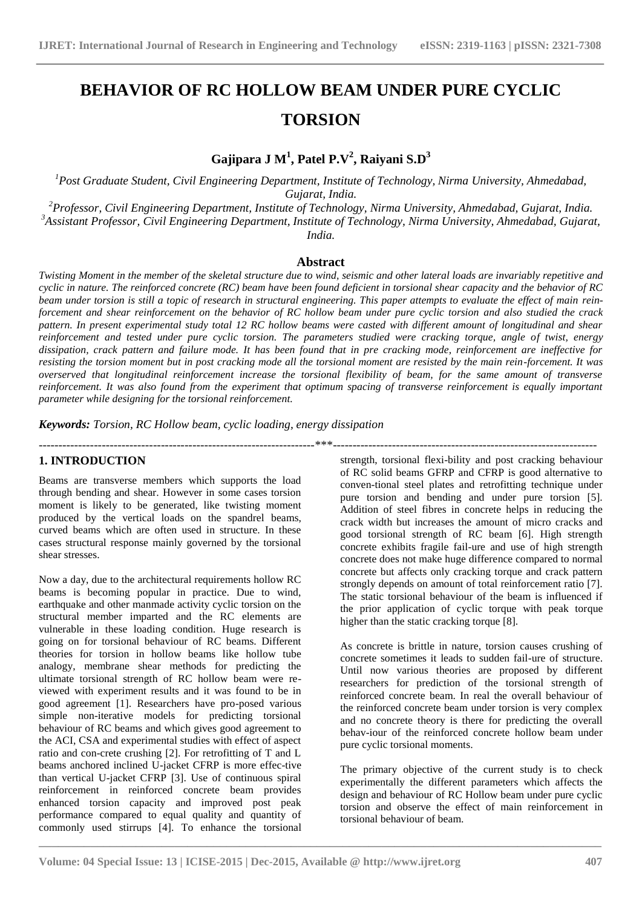# **BEHAVIOR OF RC HOLLOW BEAM UNDER PURE CYCLIC TORSION**

**Gajipara J M<sup>1</sup> , Patel P.V<sup>2</sup> , Raiyani S.D<sup>3</sup>**

*<sup>1</sup>Post Graduate Student, Civil Engineering Department, Institute of Technology, Nirma University, Ahmedabad, Gujarat, India.*

*<sup>2</sup>Professor, Civil Engineering Department, Institute of Technology, Nirma University, Ahmedabad, Gujarat, India. <sup>3</sup>Assistant Professor, Civil Engineering Department, Institute of Technology, Nirma University, Ahmedabad, Gujarat, India.*

**Abstract**

*Twisting Moment in the member of the skeletal structure due to wind, seismic and other lateral loads are invariably repetitive and cyclic in nature. The reinforced concrete (RC) beam have been found deficient in torsional shear capacity and the behavior of RC beam under torsion is still a topic of research in structural engineering. This paper attempts to evaluate the effect of main reinforcement and shear reinforcement on the behavior of RC hollow beam under pure cyclic torsion and also studied the crack pattern. In present experimental study total 12 RC hollow beams were casted with different amount of longitudinal and shear reinforcement and tested under pure cyclic torsion. The parameters studied were cracking torque, angle of twist, energy dissipation, crack pattern and failure mode. It has been found that in pre cracking mode, reinforcement are ineffective for resisting the torsion moment but in post cracking mode all the torsional moment are resisted by the main rein-forcement. It was overserved that longitudinal reinforcement increase the torsional flexibility of beam, for the same amount of transverse reinforcement. It was also found from the experiment that optimum spacing of transverse reinforcement is equally important parameter while designing for the torsional reinforcement.*

----------------------------------------------------------------------\*\*\*-------------------------------------------------------------------

*Keywords: Torsion, RC Hollow beam, cyclic loading, energy dissipation*

# **1. INTRODUCTION**

Beams are transverse members which supports the load through bending and shear. However in some cases torsion moment is likely to be generated, like twisting moment produced by the vertical loads on the spandrel beams, curved beams which are often used in structure. In these cases structural response mainly governed by the torsional shear stresses.

Now a day, due to the architectural requirements hollow RC beams is becoming popular in practice. Due to wind, earthquake and other manmade activity cyclic torsion on the structural member imparted and the RC elements are vulnerable in these loading condition. Huge research is going on for torsional behaviour of RC beams. Different theories for torsion in hollow beams like hollow tube analogy, membrane shear methods for predicting the ultimate torsional strength of RC hollow beam were reviewed with experiment results and it was found to be in good agreement [1]. Researchers have pro-posed various simple non-iterative models for predicting torsional behaviour of RC beams and which gives good agreement to the ACI, CSA and experimental studies with effect of aspect ratio and con-crete crushing [2]. For retrofitting of T and L beams anchored inclined U-jacket CFRP is more effec-tive than vertical U-jacket CFRP [3]. Use of continuous spiral reinforcement in reinforced concrete beam provides enhanced torsion capacity and improved post peak performance compared to equal quality and quantity of commonly used stirrups [4]. To enhance the torsional

strength, torsional flexi-bility and post cracking behaviour of RC solid beams GFRP and CFRP is good alternative to conven-tional steel plates and retrofitting technique under pure torsion and bending and under pure torsion [5]. Addition of steel fibres in concrete helps in reducing the crack width but increases the amount of micro cracks and good torsional strength of RC beam [6]. High strength concrete exhibits fragile fail-ure and use of high strength concrete does not make huge difference compared to normal concrete but affects only cracking torque and crack pattern strongly depends on amount of total reinforcement ratio [7]. The static torsional behaviour of the beam is influenced if the prior application of cyclic torque with peak torque higher than the static cracking torque [8].

As concrete is brittle in nature, torsion causes crushing of concrete sometimes it leads to sudden fail-ure of structure. Until now various theories are proposed by different researchers for prediction of the torsional strength of reinforced concrete beam. In real the overall behaviour of the reinforced concrete beam under torsion is very complex and no concrete theory is there for predicting the overall behav-iour of the reinforced concrete hollow beam under pure cyclic torsional moments.

The primary objective of the current study is to check experimentally the different parameters which affects the design and behaviour of RC Hollow beam under pure cyclic torsion and observe the effect of main reinforcement in torsional behaviour of beam.

**\_\_\_\_\_\_\_\_\_\_\_\_\_\_\_\_\_\_\_\_\_\_\_\_\_\_\_\_\_\_\_\_\_\_\_\_\_\_\_\_\_\_\_\_\_\_\_\_\_\_\_\_\_\_\_\_\_\_\_\_\_\_\_\_\_\_\_\_\_\_\_\_\_\_\_\_\_\_\_\_\_\_\_\_\_\_\_**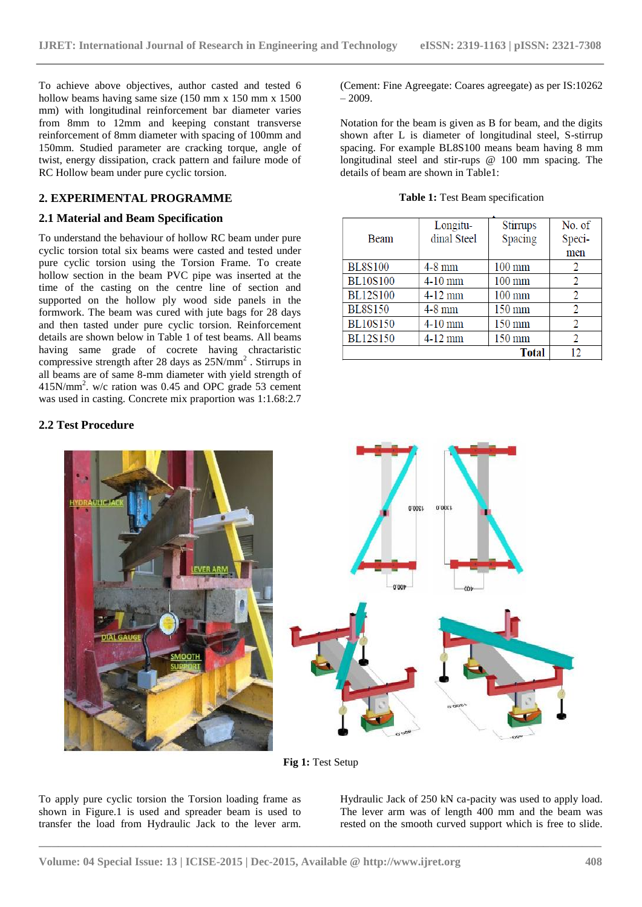To achieve above objectives, author casted and tested 6 hollow beams having same size (150 mm x 150 mm x 1500 mm) with longitudinal reinforcement bar diameter varies from 8mm to 12mm and keeping constant transverse reinforcement of 8mm diameter with spacing of 100mm and 150mm. Studied parameter are cracking torque, angle of twist, energy dissipation, crack pattern and failure mode of RC Hollow beam under pure cyclic torsion.

# **2. EXPERIMENTAL PROGRAMME**

### **2.1 Material and Beam Specification**

To understand the behaviour of hollow RC beam under pure cyclic torsion total six beams were casted and tested under pure cyclic torsion using the Torsion Frame. To create hollow section in the beam PVC pipe was inserted at the time of the casting on the centre line of section and supported on the hollow ply wood side panels in the formwork. The beam was cured with jute bags for 28 days and then tasted under pure cyclic torsion. Reinforcement details are shown below in Table 1 of test beams. All beams having same grade of cocrete having chractaristic compressive strength after 28 days as  $25N/mm^2$ . Stirrups in all beams are of same 8-mm diameter with yield strength of 415N/mm<sup>2</sup> . w/c ration was 0.45 and OPC grade 53 cement was used in casting. Concrete mix praportion was 1:1.68:2.7

# **2.2 Test Procedure**

(Cement: Fine Agreegate: Coares agreegate) as per IS:10262 – 2009.

Notation for the beam is given as B for beam, and the digits shown after L is diameter of longitudinal steel, S-stirrup spacing. For example BL8S100 means beam having 8 mm longitudinal steel and stir-rups @ 100 mm spacing. The details of beam are shown in Table1:

|  |  | Table 1: Test Beam specification |
|--|--|----------------------------------|
|--|--|----------------------------------|

|                 | Longitu-    | Stirrups         | No. of         |
|-----------------|-------------|------------------|----------------|
| <b>Beam</b>     | dinal Steel | Spacing          | Speci-         |
|                 |             |                  | men            |
| <b>BL8S100</b>  | $4-8$ mm    | $100 \text{ mm}$ | 2              |
| <b>BL10S100</b> | $4-10$ mm   | $100 \text{ mm}$ |                |
| <b>BL12S100</b> | $4-12$ mm   | $100 \text{ mm}$ | 2              |
| <b>BL8S150</b>  | $4-8$ mm    | $150 \text{ mm}$ | 2              |
| <b>BL10S150</b> | 4-10 mm     | $150 \text{ mm}$ | $\mathfrak{D}$ |
| <b>BL12S150</b> | $4-12$ mm   | 150 mm           | 2              |
|                 |             | <b>Total</b>     | 12             |



**Fig 1:** Test Setup

**\_\_\_\_\_\_\_\_\_\_\_\_\_\_\_\_\_\_\_\_\_\_\_\_\_\_\_\_\_\_\_\_\_\_\_\_\_\_\_\_\_\_\_\_\_\_\_\_\_\_\_\_\_\_\_\_\_\_\_\_\_\_\_\_\_\_\_\_\_\_\_\_\_\_\_\_\_\_\_\_\_\_\_\_\_\_\_**

To apply pure cyclic torsion the Torsion loading frame as shown in Figure.1 is used and spreader beam is used to transfer the load from Hydraulic Jack to the lever arm.

Hydraulic Jack of 250 kN ca-pacity was used to apply load. The lever arm was of length 400 mm and the beam was rested on the smooth curved support which is free to slide.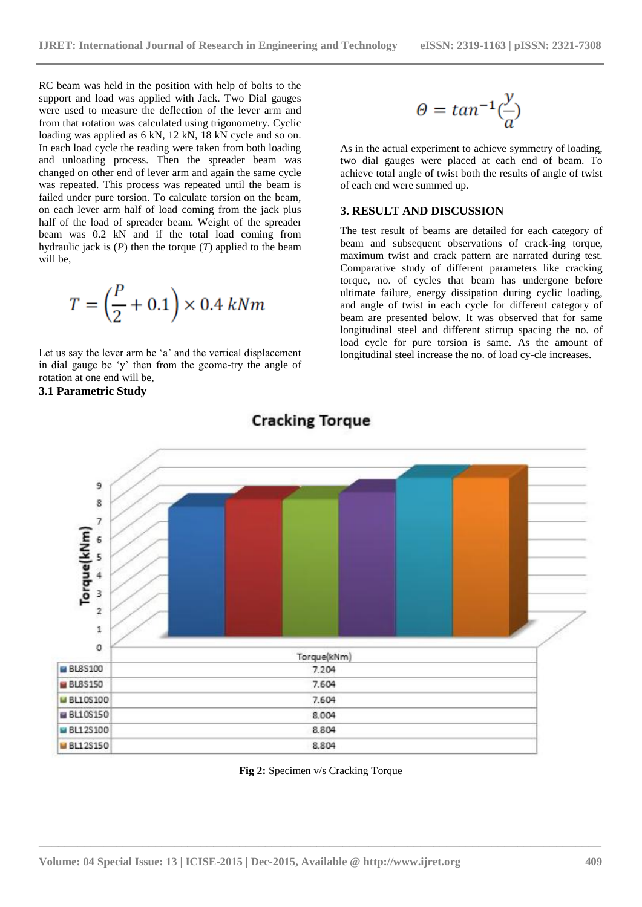RC beam was held in the position with help of bolts to the support and load was applied with Jack. Two Dial gauges were used to measure the deflection of the lever arm and from that rotation was calculated using trigonometry. Cyclic loading was applied as 6 kN, 12 kN, 18 kN cycle and so on. In each load cycle the reading were taken from both loading and unloading process. Then the spreader beam was changed on other end of lever arm and again the same cycle was repeated. This process was repeated until the beam is failed under pure torsion. To calculate torsion on the beam, on each lever arm half of load coming from the jack plus half of the load of spreader beam. Weight of the spreader beam was 0.2 kN and if the total load coming from hydraulic jack is (*P*) then the torque (*T*) applied to the beam will be,

$$
T = \left(\frac{P}{2} + 0.1\right) \times 0.4 \; kNm
$$

Let us say the lever arm be 'a' and the vertical displacement in dial gauge be "y" then from the geome-try the angle of rotation at one end will be, **3.1 Parametric Study**

$$
\theta = tan^{-1}(\frac{y}{a})
$$

As in the actual experiment to achieve symmetry of loading, two dial gauges were placed at each end of beam. To achieve total angle of twist both the results of angle of twist of each end were summed up.

### **3. RESULT AND DISCUSSION**

The test result of beams are detailed for each category of beam and subsequent observations of crack-ing torque, maximum twist and crack pattern are narrated during test. Comparative study of different parameters like cracking torque, no. of cycles that beam has undergone before ultimate failure, energy dissipation during cyclic loading, and angle of twist in each cycle for different category of beam are presented below. It was observed that for same longitudinal steel and different stirrup spacing the no. of load cycle for pure torsion is same. As the amount of longitudinal steel increase the no. of load cy-cle increases.



# **Cracking Torque**

**Fig 2:** Specimen v/s Cracking Torque

**\_\_\_\_\_\_\_\_\_\_\_\_\_\_\_\_\_\_\_\_\_\_\_\_\_\_\_\_\_\_\_\_\_\_\_\_\_\_\_\_\_\_\_\_\_\_\_\_\_\_\_\_\_\_\_\_\_\_\_\_\_\_\_\_\_\_\_\_\_\_\_\_\_\_\_\_\_\_\_\_\_\_\_\_\_\_\_**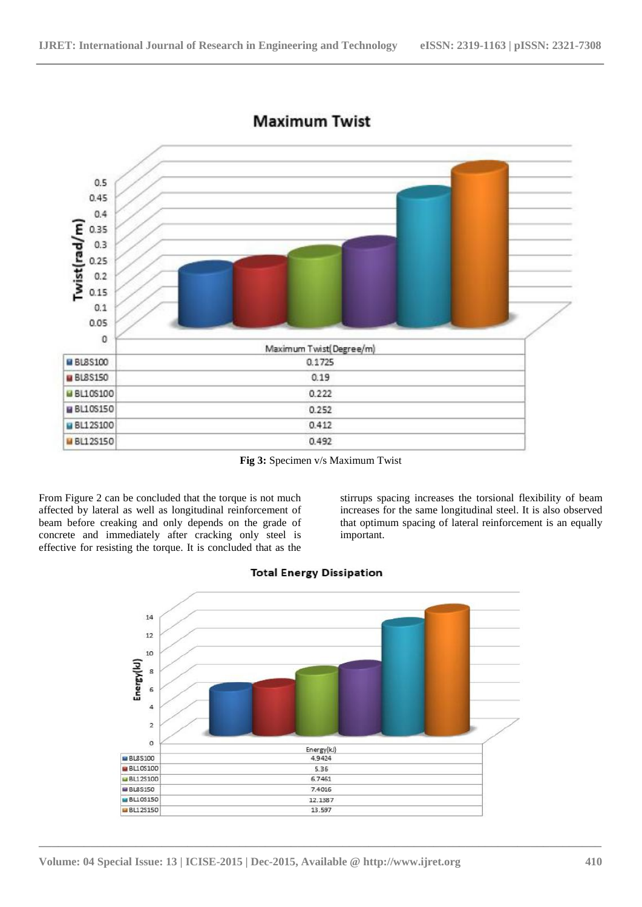

# **Maximum Twist**

**Fig 3:** Specimen v/s Maximum Twist

From Figure 2 can be concluded that the torque is not much affected by lateral as well as longitudinal reinforcement of beam before creaking and only depends on the grade of concrete and immediately after cracking only steel is effective for resisting the torque. It is concluded that as the

stirrups spacing increases the torsional flexibility of beam increases for the same longitudinal steel. It is also observed that optimum spacing of lateral reinforcement is an equally important.



**\_\_\_\_\_\_\_\_\_\_\_\_\_\_\_\_\_\_\_\_\_\_\_\_\_\_\_\_\_\_\_\_\_\_\_\_\_\_\_\_\_\_\_\_\_\_\_\_\_\_\_\_\_\_\_\_\_\_\_\_\_\_\_\_\_\_\_\_\_\_\_\_\_\_\_\_\_\_\_\_\_\_\_\_\_\_\_**

# **Total Energy Dissipation**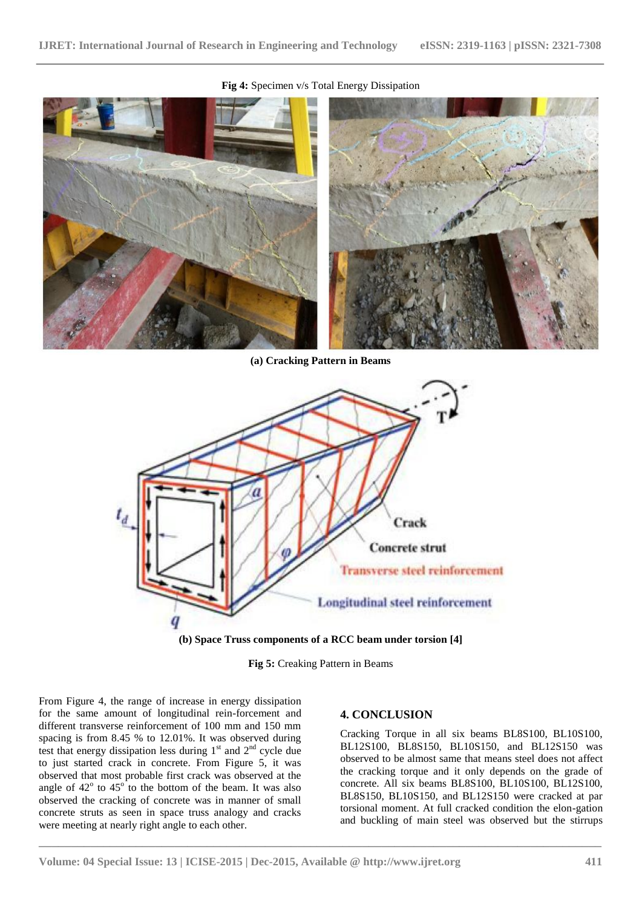

#### **Fig 4:** Specimen v/s Total Energy Dissipation

**(a) Cracking Pattern in Beams**



**<sup>(</sup>b) Space Truss components of a RCC beam under torsion [4]**

**Fig 5:** Creaking Pattern in Beams

**\_\_\_\_\_\_\_\_\_\_\_\_\_\_\_\_\_\_\_\_\_\_\_\_\_\_\_\_\_\_\_\_\_\_\_\_\_\_\_\_\_\_\_\_\_\_\_\_\_\_\_\_\_\_\_\_\_\_\_\_\_\_\_\_\_\_\_\_\_\_\_\_\_\_\_\_\_\_\_\_\_\_\_\_\_\_\_**

From Figure 4, the range of increase in energy dissipation for the same amount of longitudinal rein-forcement and different transverse reinforcement of 100 mm and 150 mm spacing is from 8.45 % to 12.01%. It was observed during test that energy dissipation less during  $1<sup>st</sup>$  and  $2<sup>nd</sup>$  cycle due to just started crack in concrete. From Figure 5, it was observed that most probable first crack was observed at the angle of  $42^{\circ}$  to  $45^{\circ}$  to the bottom of the beam. It was also observed the cracking of concrete was in manner of small concrete struts as seen in space truss analogy and cracks were meeting at nearly right angle to each other.

#### **4. CONCLUSION**

Cracking Torque in all six beams BL8S100, BL10S100, BL12S100, BL8S150, BL10S150, and BL12S150 was observed to be almost same that means steel does not affect the cracking torque and it only depends on the grade of concrete. All six beams BL8S100, BL10S100, BL12S100, BL8S150, BL10S150, and BL12S150 were cracked at par torsional moment. At full cracked condition the elon-gation and buckling of main steel was observed but the stirrups